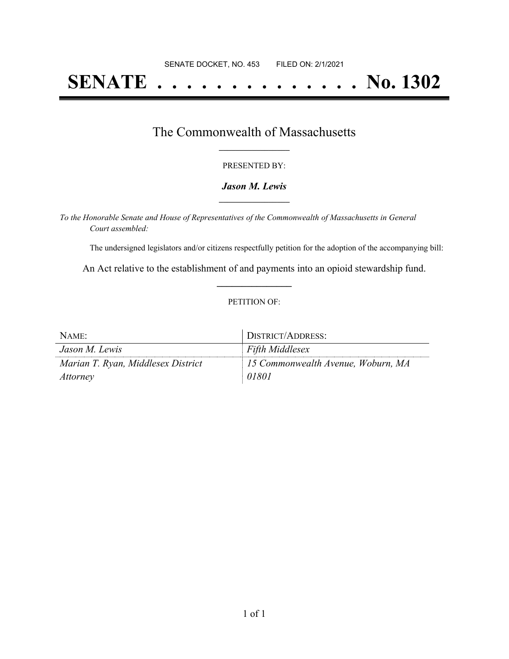# **SENATE . . . . . . . . . . . . . . No. 1302**

## The Commonwealth of Massachusetts **\_\_\_\_\_\_\_\_\_\_\_\_\_\_\_\_\_**

#### PRESENTED BY:

#### *Jason M. Lewis* **\_\_\_\_\_\_\_\_\_\_\_\_\_\_\_\_\_**

*To the Honorable Senate and House of Representatives of the Commonwealth of Massachusetts in General Court assembled:*

The undersigned legislators and/or citizens respectfully petition for the adoption of the accompanying bill:

An Act relative to the establishment of and payments into an opioid stewardship fund. **\_\_\_\_\_\_\_\_\_\_\_\_\_\_\_**

#### PETITION OF:

| NAME:                              | DISTRICT/ADDRESS:                              |
|------------------------------------|------------------------------------------------|
| Jason M. Lewis                     | <b>Fifth Middlesex</b>                         |
| Marian T. Ryan, Middlesex District | $\parallel$ 15 Commonwealth Avenue, Woburn, MA |
| <i>Attorney</i>                    | 01801                                          |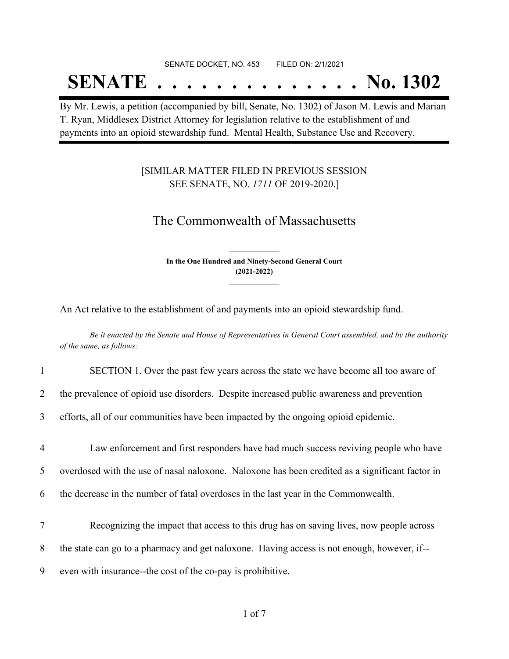#### SENATE DOCKET, NO. 453 FILED ON: 2/1/2021

## **SENATE . . . . . . . . . . . . . . No. 1302**

By Mr. Lewis, a petition (accompanied by bill, Senate, No. 1302) of Jason M. Lewis and Marian T. Ryan, Middlesex District Attorney for legislation relative to the establishment of and payments into an opioid stewardship fund. Mental Health, Substance Use and Recovery.

### [SIMILAR MATTER FILED IN PREVIOUS SESSION SEE SENATE, NO. *1711* OF 2019-2020.]

## The Commonwealth of Massachusetts

**In the One Hundred and Ninety-Second General Court (2021-2022) \_\_\_\_\_\_\_\_\_\_\_\_\_\_\_**

**\_\_\_\_\_\_\_\_\_\_\_\_\_\_\_**

An Act relative to the establishment of and payments into an opioid stewardship fund.

Be it enacted by the Senate and House of Representatives in General Court assembled, and by the authority *of the same, as follows:*

1 SECTION 1. Over the past few years across the state we have become all too aware of

2 the prevalence of opioid use disorders. Despite increased public awareness and prevention

3 efforts, all of our communities have been impacted by the ongoing opioid epidemic.

4 Law enforcement and first responders have had much success reviving people who have 5 overdosed with the use of nasal naloxone. Naloxone has been credited as a significant factor in 6 the decrease in the number of fatal overdoses in the last year in the Commonwealth.

7 Recognizing the impact that access to this drug has on saving lives, now people across 8 the state can go to a pharmacy and get naloxone. Having access is not enough, however, if-- 9 even with insurance--the cost of the co-pay is prohibitive.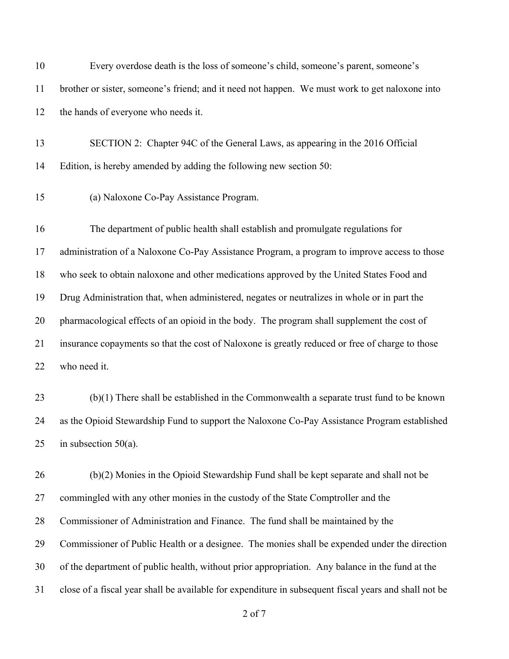| 10 | Every overdose death is the loss of someone's child, someone's parent, someone's                      |
|----|-------------------------------------------------------------------------------------------------------|
| 11 | brother or sister, someone's friend; and it need not happen. We must work to get naloxone into        |
| 12 | the hands of everyone who needs it.                                                                   |
| 13 | SECTION 2: Chapter 94C of the General Laws, as appearing in the 2016 Official                         |
| 14 | Edition, is hereby amended by adding the following new section 50:                                    |
| 15 | (a) Naloxone Co-Pay Assistance Program.                                                               |
| 16 | The department of public health shall establish and promulgate regulations for                        |
| 17 | administration of a Naloxone Co-Pay Assistance Program, a program to improve access to those          |
| 18 | who seek to obtain naloxone and other medications approved by the United States Food and              |
| 19 | Drug Administration that, when administered, negates or neutralizes in whole or in part the           |
| 20 | pharmacological effects of an opioid in the body. The program shall supplement the cost of            |
| 21 | insurance copayments so that the cost of Naloxone is greatly reduced or free of charge to those       |
| 22 | who need it.                                                                                          |
| 23 | $(b)(1)$ There shall be established in the Commonwealth a separate trust fund to be known             |
| 24 | as the Opioid Stewardship Fund to support the Naloxone Co-Pay Assistance Program established          |
| 25 | in subsection $50(a)$ .                                                                               |
| 26 | (b)(2) Monies in the Opioid Stewardship Fund shall be kept separate and shall not be                  |
| 27 | commingled with any other monies in the custody of the State Comptroller and the                      |
| 28 | Commissioner of Administration and Finance. The fund shall be maintained by the                       |
| 29 | Commissioner of Public Health or a designee. The monies shall be expended under the direction         |
| 30 | of the department of public health, without prior appropriation. Any balance in the fund at the       |
| 31 | close of a fiscal year shall be available for expenditure in subsequent fiscal years and shall not be |
|    | 2 of 7                                                                                                |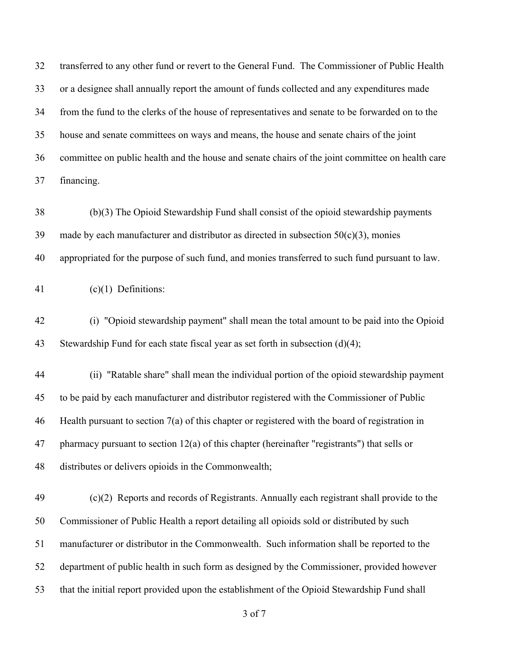transferred to any other fund or revert to the General Fund. The Commissioner of Public Health or a designee shall annually report the amount of funds collected and any expenditures made from the fund to the clerks of the house of representatives and senate to be forwarded on to the house and senate committees on ways and means, the house and senate chairs of the joint committee on public health and the house and senate chairs of the joint committee on health care financing.

 (b)(3) The Opioid Stewardship Fund shall consist of the opioid stewardship payments 39 made by each manufacturer and distributor as directed in subsection  $50(c)(3)$ , monies appropriated for the purpose of such fund, and monies transferred to such fund pursuant to law.

(c)(1) Definitions:

 (i) "Opioid stewardship payment" shall mean the total amount to be paid into the Opioid Stewardship Fund for each state fiscal year as set forth in subsection (d)(4);

 (ii) "Ratable share" shall mean the individual portion of the opioid stewardship payment to be paid by each manufacturer and distributor registered with the Commissioner of Public Health pursuant to section 7(a) of this chapter or registered with the board of registration in pharmacy pursuant to section 12(a) of this chapter (hereinafter "registrants") that sells or distributes or delivers opioids in the Commonwealth;

 (c)(2) Reports and records of Registrants. Annually each registrant shall provide to the Commissioner of Public Health a report detailing all opioids sold or distributed by such manufacturer or distributor in the Commonwealth. Such information shall be reported to the department of public health in such form as designed by the Commissioner, provided however that the initial report provided upon the establishment of the Opioid Stewardship Fund shall

of 7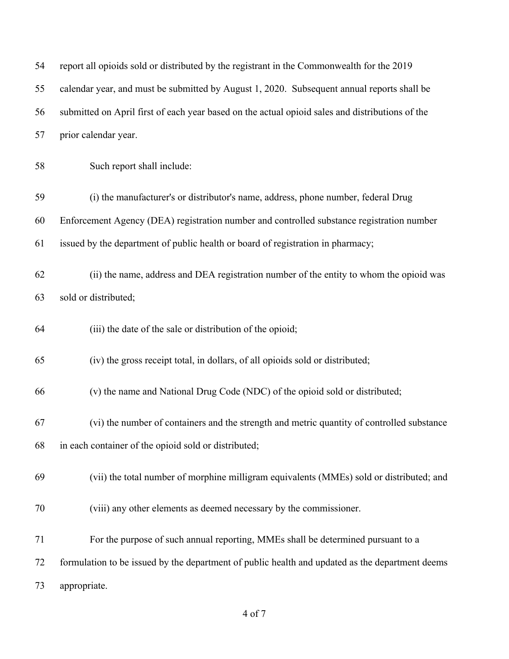| 54 | report all opioids sold or distributed by the registrant in the Commonwealth for the 2019       |
|----|-------------------------------------------------------------------------------------------------|
| 55 | calendar year, and must be submitted by August 1, 2020. Subsequent annual reports shall be      |
| 56 | submitted on April first of each year based on the actual opioid sales and distributions of the |
| 57 | prior calendar year.                                                                            |
| 58 | Such report shall include:                                                                      |
| 59 | (i) the manufacturer's or distributor's name, address, phone number, federal Drug               |
| 60 | Enforcement Agency (DEA) registration number and controlled substance registration number       |
| 61 | issued by the department of public health or board of registration in pharmacy;                 |
| 62 | (ii) the name, address and DEA registration number of the entity to whom the opioid was         |
| 63 | sold or distributed;                                                                            |
| 64 | (iii) the date of the sale or distribution of the opioid;                                       |
| 65 | (iv) the gross receipt total, in dollars, of all opioids sold or distributed;                   |
| 66 | (v) the name and National Drug Code (NDC) of the opioid sold or distributed;                    |
| 67 | (vi) the number of containers and the strength and metric quantity of controlled substance      |
| 68 | in each container of the opioid sold or distributed;                                            |
| 69 | (vii) the total number of morphine milligram equivalents (MMEs) sold or distributed; and        |
| 70 | (viii) any other elements as deemed necessary by the commissioner.                              |
| 71 | For the purpose of such annual reporting, MMEs shall be determined pursuant to a                |
| 72 | formulation to be issued by the department of public health and updated as the department deems |
| 73 | appropriate.                                                                                    |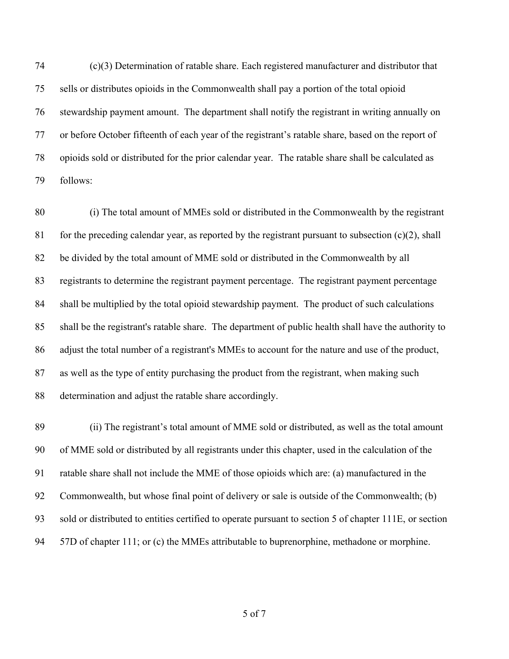(c)(3) Determination of ratable share. Each registered manufacturer and distributor that sells or distributes opioids in the Commonwealth shall pay a portion of the total opioid stewardship payment amount. The department shall notify the registrant in writing annually on or before October fifteenth of each year of the registrant's ratable share, based on the report of opioids sold or distributed for the prior calendar year. The ratable share shall be calculated as follows:

 (i) The total amount of MMEs sold or distributed in the Commonwealth by the registrant 81 for the preceding calendar year, as reported by the registrant pursuant to subsection  $(c)(2)$ , shall be divided by the total amount of MME sold or distributed in the Commonwealth by all registrants to determine the registrant payment percentage. The registrant payment percentage shall be multiplied by the total opioid stewardship payment. The product of such calculations shall be the registrant's ratable share. The department of public health shall have the authority to adjust the total number of a registrant's MMEs to account for the nature and use of the product, as well as the type of entity purchasing the product from the registrant, when making such determination and adjust the ratable share accordingly.

 (ii) The registrant's total amount of MME sold or distributed, as well as the total amount of MME sold or distributed by all registrants under this chapter, used in the calculation of the ratable share shall not include the MME of those opioids which are: (a) manufactured in the Commonwealth, but whose final point of delivery or sale is outside of the Commonwealth; (b) sold or distributed to entities certified to operate pursuant to section 5 of chapter 111E, or section 94 57D of chapter 111; or (c) the MMEs attributable to buprenorphine, methadone or morphine.

of 7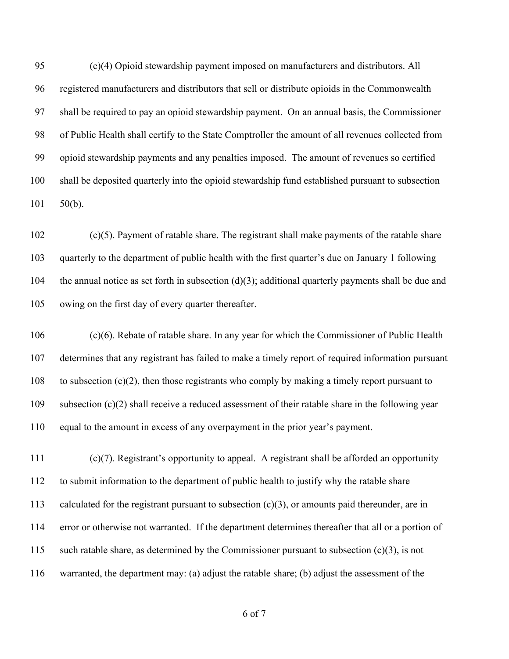(c)(4) Opioid stewardship payment imposed on manufacturers and distributors. All registered manufacturers and distributors that sell or distribute opioids in the Commonwealth shall be required to pay an opioid stewardship payment. On an annual basis, the Commissioner of Public Health shall certify to the State Comptroller the amount of all revenues collected from opioid stewardship payments and any penalties imposed. The amount of revenues so certified shall be deposited quarterly into the opioid stewardship fund established pursuant to subsection 50(b).

 (c)(5). Payment of ratable share. The registrant shall make payments of the ratable share quarterly to the department of public health with the first quarter's due on January 1 following 104 the annual notice as set forth in subsection  $(d)(3)$ ; additional quarterly payments shall be due and owing on the first day of every quarter thereafter.

 (c)(6). Rebate of ratable share. In any year for which the Commissioner of Public Health determines that any registrant has failed to make a timely report of required information pursuant to subsection (c)(2), then those registrants who comply by making a timely report pursuant to subsection (c)(2) shall receive a reduced assessment of their ratable share in the following year equal to the amount in excess of any overpayment in the prior year's payment.

 (c)(7). Registrant's opportunity to appeal. A registrant shall be afforded an opportunity to submit information to the department of public health to justify why the ratable share 113 calculated for the registrant pursuant to subsection  $(c)(3)$ , or amounts paid thereunder, are in error or otherwise not warranted. If the department determines thereafter that all or a portion of such ratable share, as determined by the Commissioner pursuant to subsection (c)(3), is not warranted, the department may: (a) adjust the ratable share; (b) adjust the assessment of the

of 7